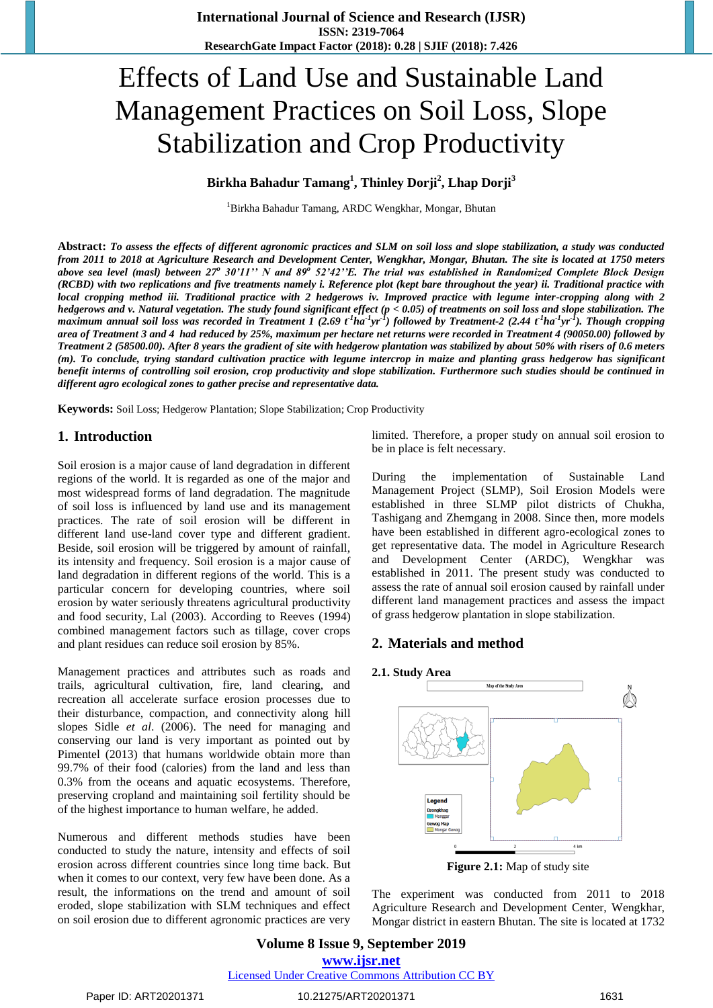# Effects of Land Use and Sustainable Land Management Practices on Soil Loss, Slope Stabilization and Crop Productivity

# **Birkha Bahadur Tamang<sup>1</sup> , Thinley Dorji<sup>2</sup> , Lhap Dorji<sup>3</sup>**

<sup>1</sup>Birkha Bahadur Tamang, ARDC Wengkhar, Mongar, Bhutan

**Abstract:** *To assess the effects of different agronomic practices and SLM on soil loss and slope stabilization, a study was conducted from 2011 to 2018 at Agriculture Research and Development Center, Wengkhar, Mongar, Bhutan. The site is located at 1750 meters*  above sea level (masl) between 27<sup>°</sup> 30'11'' N and 89<sup><sup>5</sup> 52'42''E. The trial was established in Randomized Complete Block Design</sup> *(RCBD) with two replications and five treatments namely i. Reference plot (kept bare throughout the year) ii. Traditional practice with local cropping method iii. Traditional practice with 2 hedgerows iv. Improved practice with legume inter-cropping along with 2 hedgerows and v. Natural vegetation. The study found significant effect (p < 0.05) of treatments on soil loss and slope stabilization. The*  maximum annual soil loss was recorded in Treatment 1 (2.69 t<sup>1</sup>ha<sup>-1</sup>yr<sup>-1</sup>) followed by Treatment-2 (2.44 t<sup>-1</sup>ha<sup>-1</sup>yr<sup>-1</sup>). Though cropping *area of Treatment 3 and 4 had reduced by 25%, maximum per hectare net returns were recorded in Treatment 4 (90050.00) followed by Treatment 2 (58500.00). After 8 years the gradient of site with hedgerow plantation was stabilized by about 50% with risers of 0.6 meters (m). To conclude, trying standard cultivation practice with legume intercrop in maize and planting grass hedgerow has significant benefit interms of controlling soil erosion, crop productivity and slope stabilization. Furthermore such studies should be continued in different agro ecological zones to gather precise and representative data.* 

**Keywords:** Soil Loss; Hedgerow Plantation; Slope Stabilization; Crop Productivity

# **1. Introduction**

Soil erosion is a major cause of land degradation in different regions of the world. It is regarded as one of the major and most widespread forms of land degradation. The magnitude of soil loss is influenced by land use and its management practices. The rate of soil erosion will be different in different land use-land cover type and different gradient. Beside, soil erosion will be triggered by amount of rainfall, its intensity and frequency. Soil erosion is a major cause of land degradation in different regions of the world. This is a particular concern for developing countries, where soil erosion by water seriously threatens agricultural productivity and food security, Lal (2003). According to Reeves (1994) combined management factors such as tillage, cover crops and plant residues can reduce soil erosion by 85%.

Management practices and attributes such as roads and trails, agricultural cultivation, fire, land clearing, and recreation all accelerate surface erosion processes due to their disturbance, compaction, and connectivity along hill slopes Sidle *et al*. (2006). The need for managing and conserving our land is very important as pointed out by [Pimentel](https://www.mdpi.com/search?authors=David%20Pimentel&orcid=) (2013) that humans worldwide obtain more than 99.7% of their food (calories) from the land and less than 0.3% from the oceans and aquatic ecosystems. Therefore, preserving cropland and maintaining soil fertility should be of the highest importance to human welfare, he added.

Numerous and different methods studies have been conducted to study the nature, intensity and effects of soil erosion across different countries since long time back. But when it comes to our context, very few have been done. As a result, the informations on the trend and amount of soil eroded, slope stabilization with SLM techniques and effect on soil erosion due to different agronomic practices are very limited. Therefore, a proper study on annual soil erosion to be in place is felt necessary.

During the implementation of Sustainable Land Management Project (SLMP), Soil Erosion Models were established in three SLMP pilot districts of Chukha, Tashigang and Zhemgang in 2008. Since then, more models have been established in different agro-ecological zones to get representative data. The model in Agriculture Research and Development Center (ARDC), Wengkhar was established in 2011. The present study was conducted to assess the rate of annual soil erosion caused by rainfall under different land management practices and assess the impact of grass hedgerow plantation in slope stabilization.

# **2. Materials and method**

#### **2.1. Study Area**



**Figure 2.1:** Map of study site

The experiment was conducted from 2011 to 2018 Agriculture Research and Development Center, Wengkhar, Mongar district in eastern Bhutan. The site is located at 1732

**Volume 8 Issue 9, September 2019 www.ijsr.net** Licensed Under Creative Commons Attribution CC BY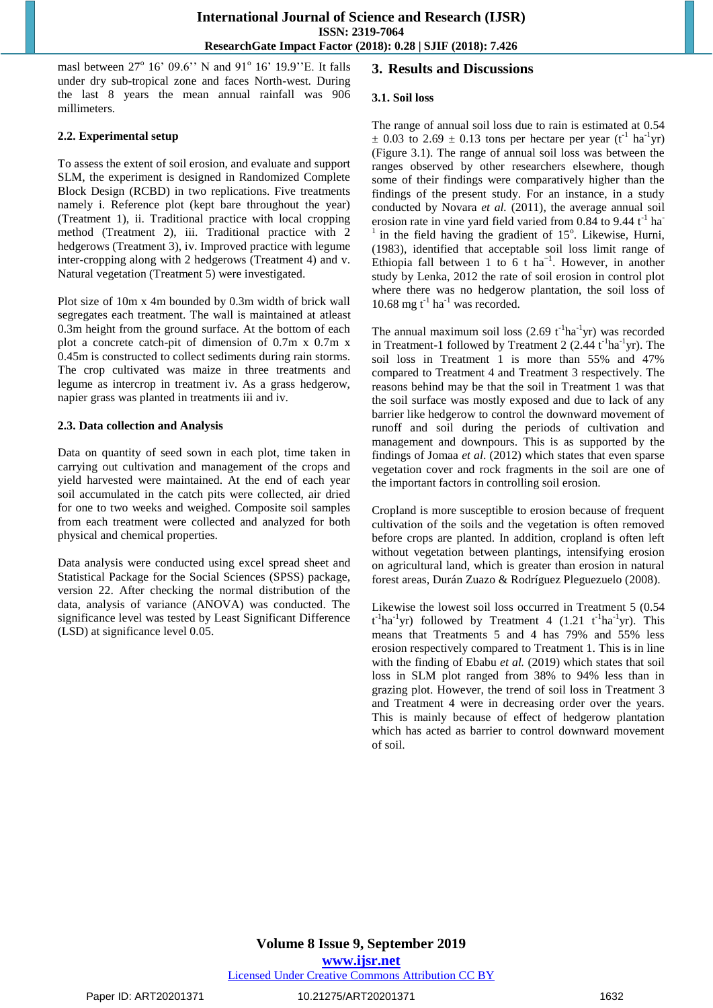masl between 27° 16' 09.6" N and 91° 16' 19.9" E. It falls under dry sub-tropical zone and faces North-west. During the last 8 years the mean annual rainfall was 906 millimeters.

#### **2.2. Experimental setup**

To assess the extent of soil erosion, and evaluate and support SLM, the experiment is designed in Randomized Complete Block Design (RCBD) in two replications. Five treatments namely i. Reference plot (kept bare throughout the year) (Treatment 1), ii. Traditional practice with local cropping method (Treatment 2), iii. Traditional practice with 2 hedgerows (Treatment 3), iv. Improved practice with legume inter-cropping along with 2 hedgerows (Treatment 4) and v. Natural vegetation (Treatment 5) were investigated.

Plot size of 10m x 4m bounded by 0.3m width of brick wall segregates each treatment. The wall is maintained at atleast 0.3m height from the ground surface. At the bottom of each plot a concrete catch-pit of dimension of 0.7m x 0.7m x 0.45m is constructed to collect sediments during rain storms. The crop cultivated was maize in three treatments and legume as intercrop in treatment iv. As a grass hedgerow, napier grass was planted in treatments iii and iv.

#### **2.3. Data collection and Analysis**

Data on quantity of seed sown in each plot, time taken in carrying out cultivation and management of the crops and yield harvested were maintained. At the end of each year soil accumulated in the catch pits were collected, air dried for one to two weeks and weighed. Composite soil samples from each treatment were collected and analyzed for both physical and chemical properties.

Data analysis were conducted using excel spread sheet and Statistical Package for the Social Sciences (SPSS) package, version 22. After checking the normal distribution of the data, analysis of variance (ANOVA) was conducted. The significance level was tested by Least Significant Difference (LSD) at significance level 0.05.

#### **3. Results and Discussions**

#### **3.1. Soil loss**

The range of annual soil loss due to rain is estimated at 0.54  $\pm$  0.03 to 2.69  $\pm$  0.13 tons per hectare per year (t<sup>-1</sup> ha<sup>-1</sup>yr) (Figure 3.1). The range of annual soil loss was between the ranges observed by other researchers elsewhere, though some of their findings were comparatively higher than the findings of the present study. For an instance, in a study conducted by Novara *et al.* (2011), the average annual soil erosion rate in vine yard field varied from  $0.84$  to  $9.44$  t<sup>-1</sup> ha  $1$  in the field having the gradient of  $15^\circ$ . Likewise, Hurni, (1983), identified that acceptable soil loss limit range of Ethiopia fall between 1 to 6 t ha<sup>-1</sup>. However, in another study by Lenka, 2012 the rate of soil erosion in control plot where there was no hedgerow plantation, the soil loss of 10.68 mg  $t^{-1}$  ha<sup>-1</sup> was recorded.

The annual maximum soil loss  $(2.69 \text{ t}^{-1} \text{ha}^{-1} \text{yr})$  was recorded in Treatment-1 followed by Treatment 2  $(2.44 \t<sup>1</sup>ha<sup>-1</sup>yr)$ . The soil loss in Treatment 1 is more than 55% and 47% compared to Treatment 4 and Treatment 3 respectively. The reasons behind may be that the soil in Treatment 1 was that the soil surface was mostly exposed and due to lack of any barrier like hedgerow to control the downward movement of runoff and soil during the periods of cultivation and management and downpours. This is as supported by the findings of Jomaa *et al*. (2012) which states that even sparse vegetation cover and rock fragments in the soil are one of the important factors in controlling soil erosion.

Cropland is more susceptible to erosion because of frequent cultivation of the soils and the vegetation is often removed before crops are planted. In addition, cropland is often left without vegetation between plantings, intensifying erosion on agricultural land, which is greater than erosion in natural forest areas, Durán Zuazo & Rodríguez Pleguezuelo (2008).

Likewise the lowest soil loss occurred in Treatment 5 (0.54  $t^{-1}$ ha<sup>-1</sup>yr) followed by Treatment 4 (1.21  $t^{-1}$ ha<sup>-1</sup>yr). This means that Treatments 5 and 4 has 79% and 55% less erosion respectively compared to Treatment 1. This is in line with the finding of Ebabu *et al.* (2019) which states that soil loss in SLM plot ranged from 38% to 94% less than in grazing plot. However, the trend of soil loss in Treatment 3 and Treatment 4 were in decreasing order over the years. This is mainly because of effect of hedgerow plantation which has acted as barrier to control downward movement of soil.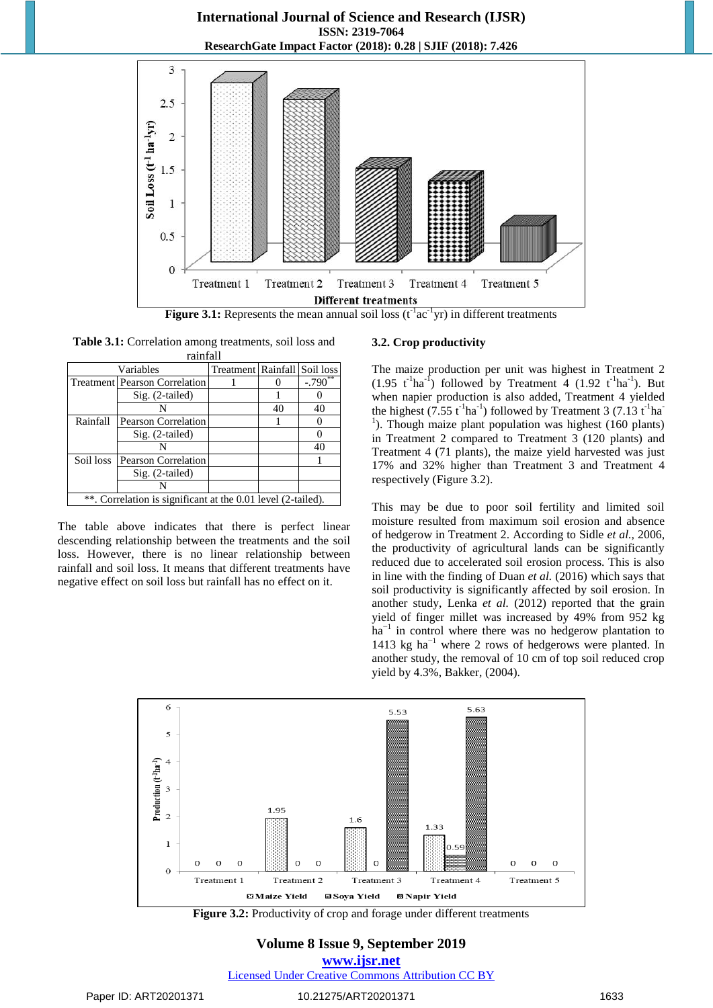**International Journal of Science and Research (IJSR) ISSN: 2319-7064 ResearchGate Impact Factor (2018): 0.28 | SJIF (2018): 7.426**



**Figure 3.1:** Represents the mean annual soil loss  $(t^{-1}ac^{-1}yr)$  in different treatments

| <b>Table 3.1:</b> Correlation among treatments, soil loss and |                              |  |  |  |  |  |
|---------------------------------------------------------------|------------------------------|--|--|--|--|--|
| rainfall                                                      |                              |  |  |  |  |  |
| Variables                                                     | Treatment Rainfall Soil loss |  |  |  |  |  |
|                                                               |                              |  |  |  |  |  |

|                                                              | <b>Treatment Pearson Correlation</b> |  |    | $-.790$ |
|--------------------------------------------------------------|--------------------------------------|--|----|---------|
|                                                              | $Sig. (2-tailed)$                    |  |    |         |
|                                                              |                                      |  | 40 | 40      |
| Rainfall                                                     | Pearson Correlation                  |  |    |         |
|                                                              | $Sig. (2-tailed)$                    |  |    |         |
|                                                              |                                      |  |    | 40      |
| Soil loss                                                    | <b>Pearson Correlation</b>           |  |    |         |
| $Sig. (2-tailed)$                                            |                                      |  |    |         |
|                                                              |                                      |  |    |         |
| **. Correlation is significant at the 0.01 level (2-tailed). |                                      |  |    |         |

The table above indicates that there is perfect linear descending relationship between the treatments and the soil loss. However, there is no linear relationship between rainfall and soil loss. It means that different treatments have negative effect on soil loss but rainfall has no effect on it.

#### **3.2. Crop productivity**

The maize production per unit was highest in Treatment 2  $(1.95 \text{ t}^{-1} \text{ha}^{-1})$  followed by Treatment 4  $(1.92 \text{ t}^{-1} \text{ha}^{-1})$ . But when napier production is also added, Treatment 4 yielded the highest  $(7.55 \text{ t}^{-1} \text{ha}^{-1})$  followed by Treatment 3  $(7.13 \text{ t}^{-1} \text{ha}^{-1})$ <sup>1</sup>). Though maize plant population was highest (160 plants) in Treatment 2 compared to Treatment 3 (120 plants) and Treatment 4 (71 plants), the maize yield harvested was just 17% and 32% higher than Treatment 3 and Treatment 4 respectively (Figure 3.2).

This may be due to poor soil fertility and limited soil moisture resulted from maximum soil erosion and absence of hedgerow in Treatment 2. According to Sidle *et al.,* 2006, the productivity of agricultural lands can be significantly reduced due to accelerated soil erosion process. This is also in line with the finding of Duan *et al.* (2016) which says that soil productivity is significantly affected by soil erosion. In another study, Lenka *et al.* (2012) reported that the grain yield of finger millet was increased by 49% from 952 kg ha<sup>-1</sup> in control where there was no hedgerow plantation to 1413 kg ha−1 where 2 rows of hedgerows were planted. In another study, the removal of 10 cm of top soil reduced crop yield by 4.3%, Bakker, (2004).



Figure 3.2: Productivity of crop and forage under different treatments

**Volume 8 Issue 9, September 2019 www.ijsr.net** Licensed Under Creative Commons Attribution CC BY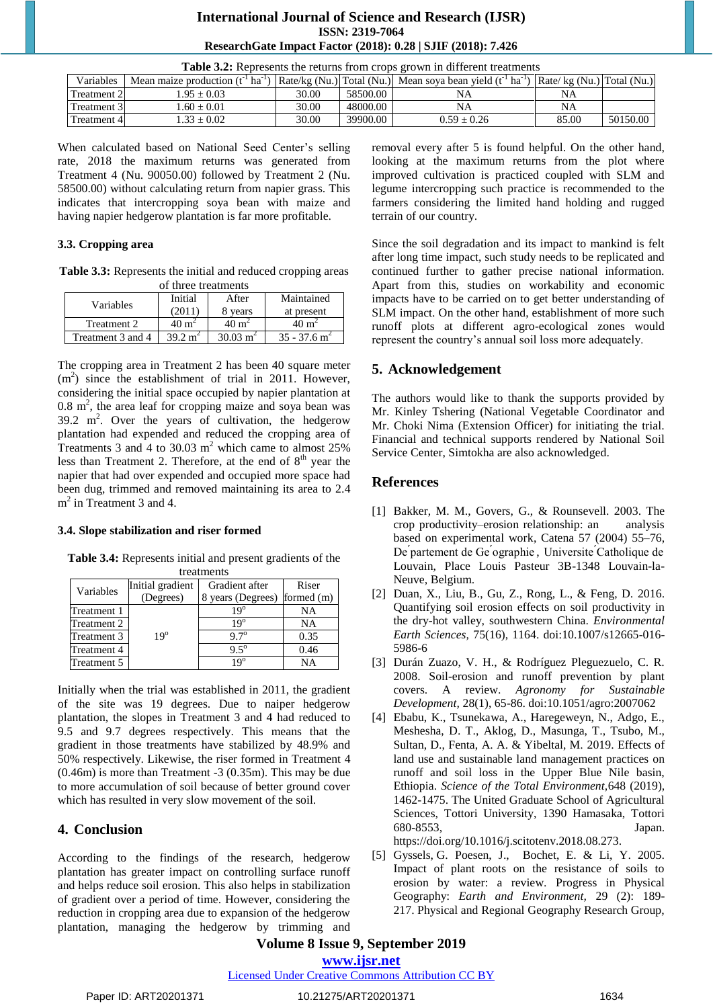# **International Journal of Science and Research (IJSR) ISSN: 2319-7064 ResearchGate Impact Factor (2018): 0.28 | SJIF (2018): 7.426**

| <b>Table 3.2:</b> Represents the returns from crops grown in different treatments |                                                                                                                                                |       |          |    |    |  |  |
|-----------------------------------------------------------------------------------|------------------------------------------------------------------------------------------------------------------------------------------------|-------|----------|----|----|--|--|
| Variables                                                                         | Mean maize production $(t^1 \text{ ha}^{-1})$ Rate/kg (Nu.) Total (Nu.) Mean soya bean yield $(t^1 \text{ ha}^{-1})$ Rate/kg (Nu.) Total (Nu.) |       |          |    |    |  |  |
| Treatment 2                                                                       | $1.95 + 0.03$                                                                                                                                  | 30.00 | 58500.00 | NA | NA |  |  |
| Treatment 3                                                                       | $1.60 + 0.01$                                                                                                                                  | 30.00 | 48000.00 | NA | NA |  |  |

Treatment 4  $1.33 \pm 0.02$   $39.00$   $39900.00$   $0.59 \pm 0.26$  85.00  $50150.00$ 

When calculated based on National Seed Center's selling rate, 2018 the maximum returns was generated from Treatment 4 (Nu. 90050.00) followed by Treatment 2 (Nu. 58500.00) without calculating return from napier grass. This indicates that intercropping soya bean with maize and having napier hedgerow plantation is far more profitable.

#### **3.3. Cropping area**

**Table 3.3:** Represents the initial and reduced cropping areas of three treatments

| Variables         | Initial          | After               | Maintained                 |  |  |
|-------------------|------------------|---------------------|----------------------------|--|--|
|                   | 2011             | 8 years             | at present                 |  |  |
| Treatment 2       | $40 \text{ m}^2$ | $40 \text{ m}^2$    | $40 \text{ m}^2$           |  |  |
| Treatment 3 and 4 |                  | $30.03 \text{ m}^2$ | $35 - 37.6$ m <sup>2</sup> |  |  |

The cropping area in Treatment 2 has been 40 square meter (m<sup>2</sup>) since the establishment of trial in 2011. However, considering the initial space occupied by napier plantation at  $0.8 \text{ m}^2$ , the area leaf for cropping maize and soya bean was  $39.2 \text{ m}^2$ . Over the years of cultivation, the hedgerow plantation had expended and reduced the cropping area of Treatments 3 and 4 to 30.03  $m^2$  which came to almost 25% less than Treatment 2. Therefore, at the end of  $8<sup>th</sup>$  year the napier that had over expended and occupied more space had been dug, trimmed and removed maintaining its area to 2.4 m<sup>2</sup> in Treatment 3 and 4.

# **3.4. Slope stabilization and riser formed**

**Table 3.4:** Represents initial and present gradients of the treatments

|             | Initial gradient | Gradient after               | Riser     |
|-------------|------------------|------------------------------|-----------|
| Variables   | (Degrees)        | 8 years (Degrees) formed (m) |           |
| Treatment 1 |                  | $19^{\circ}$                 | NA        |
| Treatment 2 |                  | $19^{\circ}$                 | <b>NA</b> |
| Treatment 3 | $19^\circ$       | $97^\circ$                   | 0.35      |
| Treatment 4 |                  | $95^{\circ}$                 | 0.46      |
| Treatment 5 |                  | 19 <sup>o</sup>              | NΔ        |

Initially when the trial was established in 2011, the gradient of the site was 19 degrees. Due to naiper hedgerow plantation, the slopes in Treatment 3 and 4 had reduced to 9.5 and 9.7 degrees respectively. This means that the gradient in those treatments have stabilized by 48.9% and 50% respectively. Likewise, the riser formed in Treatment 4 (0.46m) is more than Treatment -3 (0.35m). This may be due to more accumulation of soil because of better ground cover which has resulted in very slow movement of the soil.

# **4. Conclusion**

According to the findings of the research, hedgerow plantation has greater impact on controlling surface runoff and helps reduce soil erosion. This also helps in stabilization of gradient over a period of time. However, considering the reduction in cropping area due to expansion of the hedgerow plantation, managing the hedgerow by trimming and removal every after 5 is found helpful. On the other hand, looking at the maximum returns from the plot where improved cultivation is practiced coupled with SLM and legume intercropping such practice is recommended to the farmers considering the limited hand holding and rugged terrain of our country.

Since the soil degradation and its impact to mankind is felt after long time impact, such study needs to be replicated and continued further to gather precise national information. Apart from this, studies on workability and economic impacts have to be carried on to get better understanding of SLM impact. On the other hand, establishment of more such runoff plots at different agro-ecological zones would represent the country's annual soil loss more adequately.

# **5. Acknowledgement**

The authors would like to thank the supports provided by Mr. Kinley Tshering (National Vegetable Coordinator and Mr. Choki Nima (Extension Officer) for initiating the trial. Financial and technical supports rendered by National Soil Service Center, Simtokha are also acknowledged.

# **References**

- [1] Bakker, M. M., Govers, G., & Rounsevell. 2003. The crop productivity–erosion relationship: an analysis based on experimental work, Catena 57 (2004) 55–76, De partement de Ge ographie, Universite Catholique de Louvain, Place Louis Pasteur 3B-1348 Louvain-la-Neuve, Belgium.
- [2] Duan, X., Liu, B., Gu, Z., Rong, L., & Feng, D. 2016. Quantifying soil erosion effects on soil productivity in the dry-hot valley, southwestern China. *Environmental Earth Sciences,* 75(16), 1164. doi:10.1007/s12665-016- 5986-6
- [3] Durán Zuazo, V. H., & Rodríguez Pleguezuelo, C. R. 2008. Soil-erosion and runoff prevention by plant covers. A review. *Agronomy for Sustainable Development,* 28(1), 65-86. doi:10.1051/agro:2007062
- [4] Ebabu, K., Tsunekawa, A., Haregeweyn, N., Adgo, E., Meshesha, D. T., Aklog, D., Masunga, T., Tsubo, M., Sultan, D., Fenta, A. A. & Yibeltal, M. 2019. Effects of land use and sustainable land management practices on runoff and soil loss in the Upper Blue Nile basin, Ethiopia. *Science of the Total Environment,*648 (2019), 1462-1475. The United Graduate School of Agricultural Sciences, Tottori University, 1390 Hamasaka, Tottori 680-8553, Japan.

https://doi.org/10.1016/j.scitotenv.2018.08.273.

[5] [Gyssels,](https://journals.sagepub.com/doi/abs/10.1191/0309133305pp443ra) G. [Poesen,](https://journals.sagepub.com/doi/abs/10.1191/0309133305pp443ra) J., [Bochet,](https://journals.sagepub.com/doi/abs/10.1191/0309133305pp443ra) E. & Li, Y. 2005. Impact of plant roots on the resistance of soils to erosion by water: a review. Progress in Physical Geography: *Earth and Environment,* 29 (2): 189- 217. Physical and Regional Geography Research Group,

# **Volume 8 Issue 9, September 2019**

**www.ijsr.net**

#### Licensed Under Creative Commons Attribution CC BY